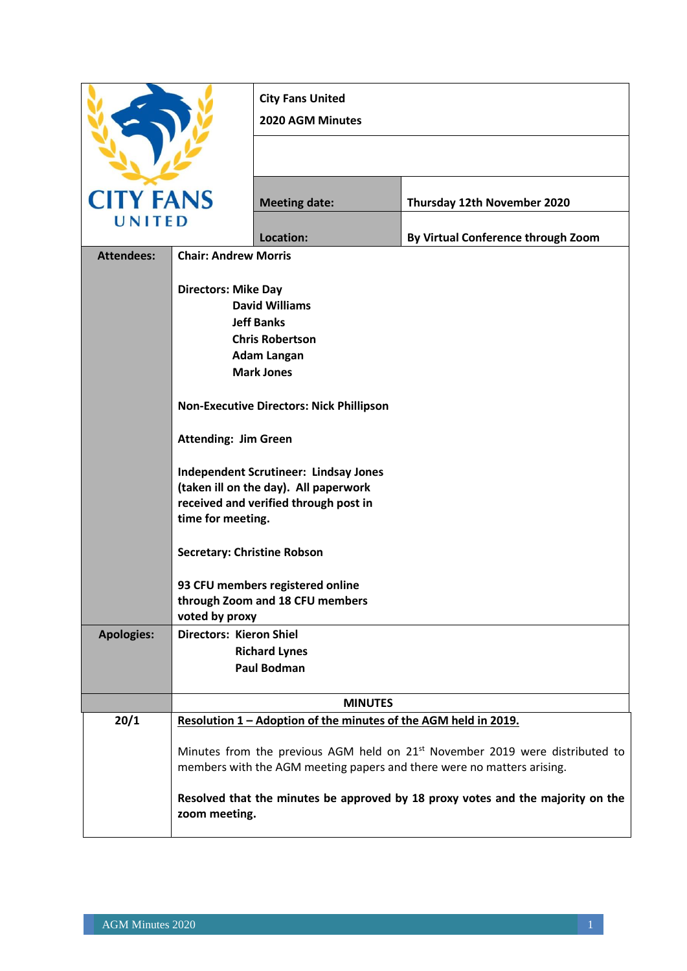|                   |                                                  | <b>City Fans United</b><br>2020 AGM Minutes                                    |                                                                                                                                                                    |
|-------------------|--------------------------------------------------|--------------------------------------------------------------------------------|--------------------------------------------------------------------------------------------------------------------------------------------------------------------|
|                   |                                                  |                                                                                |                                                                                                                                                                    |
| <b>CITY FANS</b>  |                                                  | <b>Meeting date:</b>                                                           | Thursday 12th November 2020                                                                                                                                        |
| UNITED            |                                                  | Location:                                                                      | By Virtual Conference through Zoom                                                                                                                                 |
| <b>Attendees:</b> | <b>Chair: Andrew Morris</b>                      |                                                                                |                                                                                                                                                                    |
|                   | <b>Directors: Mike Day</b>                       | <b>David Williams</b>                                                          |                                                                                                                                                                    |
|                   |                                                  | <b>Jeff Banks</b>                                                              |                                                                                                                                                                    |
|                   |                                                  | <b>Chris Robertson</b>                                                         |                                                                                                                                                                    |
|                   |                                                  | <b>Adam Langan</b>                                                             |                                                                                                                                                                    |
|                   |                                                  | <b>Mark Jones</b>                                                              |                                                                                                                                                                    |
|                   |                                                  | <b>Non-Executive Directors: Nick Phillipson</b>                                |                                                                                                                                                                    |
|                   | <b>Attending: Jim Green</b>                      |                                                                                |                                                                                                                                                                    |
|                   |                                                  | <b>Independent Scrutineer: Lindsay Jones</b>                                   |                                                                                                                                                                    |
|                   |                                                  | (taken ill on the day). All paperwork<br>received and verified through post in |                                                                                                                                                                    |
|                   | time for meeting.                                |                                                                                |                                                                                                                                                                    |
|                   | <b>Secretary: Christine Robson</b>               |                                                                                |                                                                                                                                                                    |
|                   |                                                  | 93 CFU members registered online                                               |                                                                                                                                                                    |
|                   |                                                  | through Zoom and 18 CFU members                                                |                                                                                                                                                                    |
| <b>Apologies:</b> | voted by proxy<br><b>Directors: Kieron Shiel</b> |                                                                                |                                                                                                                                                                    |
|                   |                                                  | <b>Richard Lynes</b>                                                           |                                                                                                                                                                    |
|                   |                                                  | <b>Paul Bodman</b>                                                             |                                                                                                                                                                    |
|                   |                                                  | <b>MINUTES</b>                                                                 |                                                                                                                                                                    |
| 20/1              |                                                  | Resolution 1 - Adoption of the minutes of the AGM held in 2019.                |                                                                                                                                                                    |
|                   |                                                  |                                                                                | Minutes from the previous AGM held on 21 <sup>st</sup> November 2019 were distributed to<br>members with the AGM meeting papers and there were no matters arising. |
|                   | zoom meeting.                                    |                                                                                | Resolved that the minutes be approved by 18 proxy votes and the majority on the                                                                                    |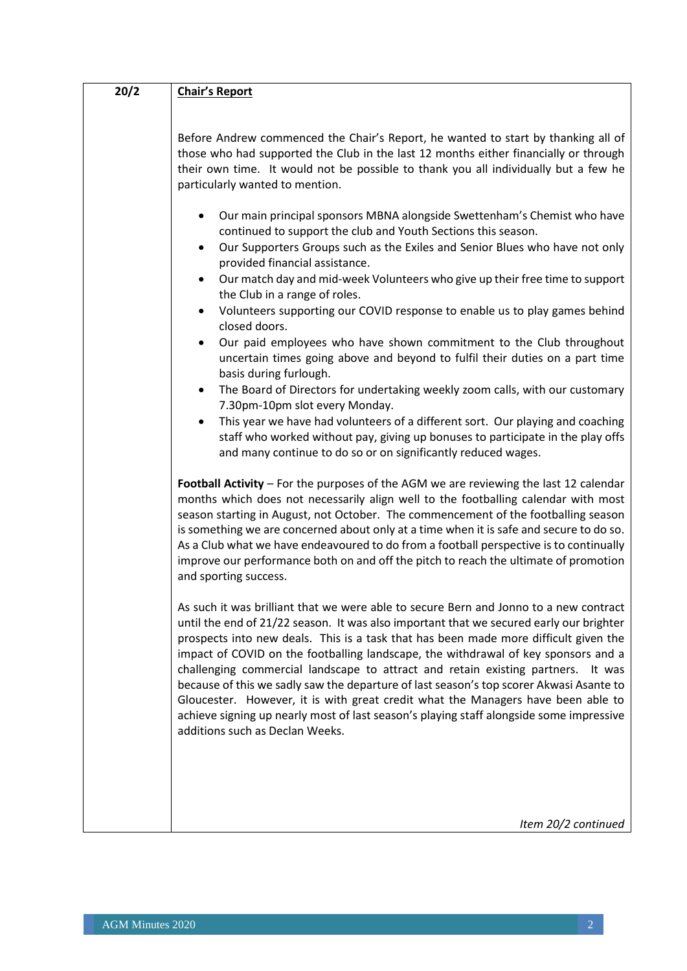| 20/2 | <b>Chair's Report</b>                                                                                                                                                                                                                                                                                                                                                                                                                                                                                                                                                                                                                                                                                                                                                                                                                                                                                                                                                                                                                                                                                                                                                                                        |
|------|--------------------------------------------------------------------------------------------------------------------------------------------------------------------------------------------------------------------------------------------------------------------------------------------------------------------------------------------------------------------------------------------------------------------------------------------------------------------------------------------------------------------------------------------------------------------------------------------------------------------------------------------------------------------------------------------------------------------------------------------------------------------------------------------------------------------------------------------------------------------------------------------------------------------------------------------------------------------------------------------------------------------------------------------------------------------------------------------------------------------------------------------------------------------------------------------------------------|
|      |                                                                                                                                                                                                                                                                                                                                                                                                                                                                                                                                                                                                                                                                                                                                                                                                                                                                                                                                                                                                                                                                                                                                                                                                              |
|      | Before Andrew commenced the Chair's Report, he wanted to start by thanking all of<br>those who had supported the Club in the last 12 months either financially or through<br>their own time. It would not be possible to thank you all individually but a few he<br>particularly wanted to mention.                                                                                                                                                                                                                                                                                                                                                                                                                                                                                                                                                                                                                                                                                                                                                                                                                                                                                                          |
|      | Our main principal sponsors MBNA alongside Swettenham's Chemist who have<br>continued to support the club and Youth Sections this season.<br>Our Supporters Groups such as the Exiles and Senior Blues who have not only<br>$\bullet$<br>provided financial assistance.<br>Our match day and mid-week Volunteers who give up their free time to support<br>٠<br>the Club in a range of roles.<br>Volunteers supporting our COVID response to enable us to play games behind<br>٠<br>closed doors.<br>Our paid employees who have shown commitment to the Club throughout<br>٠<br>uncertain times going above and beyond to fulfil their duties on a part time<br>basis during furlough.<br>The Board of Directors for undertaking weekly zoom calls, with our customary<br>$\bullet$<br>7.30pm-10pm slot every Monday.<br>This year we have had volunteers of a different sort. Our playing and coaching<br>$\bullet$<br>staff who worked without pay, giving up bonuses to participate in the play offs<br>and many continue to do so or on significantly reduced wages.                                                                                                                                    |
|      | Football Activity - For the purposes of the AGM we are reviewing the last 12 calendar<br>months which does not necessarily align well to the footballing calendar with most<br>season starting in August, not October. The commencement of the footballing season<br>is something we are concerned about only at a time when it is safe and secure to do so.<br>As a Club what we have endeavoured to do from a football perspective is to continually<br>improve our performance both on and off the pitch to reach the ultimate of promotion<br>and sporting success.<br>As such it was brilliant that we were able to secure Bern and Jonno to a new contract<br>until the end of 21/22 season. It was also important that we secured early our brighter<br>prospects into new deals. This is a task that has been made more difficult given the<br>impact of COVID on the footballing landscape, the withdrawal of key sponsors and a<br>challenging commercial landscape to attract and retain existing partners. It was<br>because of this we sadly saw the departure of last season's top scorer Akwasi Asante to<br>Gloucester. However, it is with great credit what the Managers have been able to |
|      | achieve signing up nearly most of last season's playing staff alongside some impressive<br>additions such as Declan Weeks.<br>Item 20/2 continued                                                                                                                                                                                                                                                                                                                                                                                                                                                                                                                                                                                                                                                                                                                                                                                                                                                                                                                                                                                                                                                            |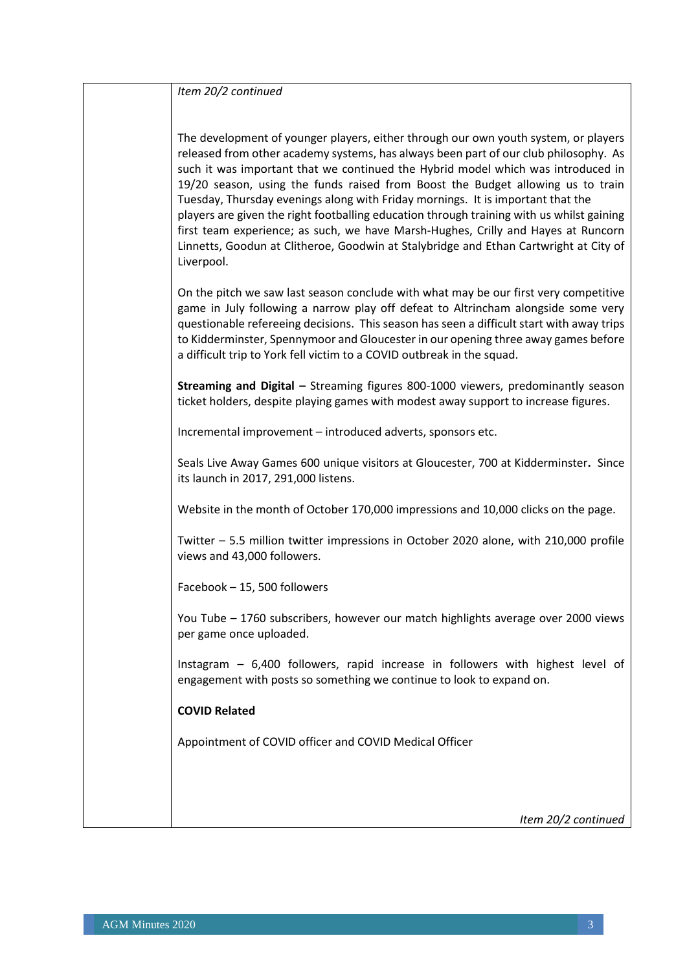| Item 20/2 continued                                                                                                                                                                                                                                                                                                                                                                                                                                                                                                                                                                                                                                                                                                            |
|--------------------------------------------------------------------------------------------------------------------------------------------------------------------------------------------------------------------------------------------------------------------------------------------------------------------------------------------------------------------------------------------------------------------------------------------------------------------------------------------------------------------------------------------------------------------------------------------------------------------------------------------------------------------------------------------------------------------------------|
| The development of younger players, either through our own youth system, or players<br>released from other academy systems, has always been part of our club philosophy. As<br>such it was important that we continued the Hybrid model which was introduced in<br>19/20 season, using the funds raised from Boost the Budget allowing us to train<br>Tuesday, Thursday evenings along with Friday mornings. It is important that the<br>players are given the right footballing education through training with us whilst gaining<br>first team experience; as such, we have Marsh-Hughes, Crilly and Hayes at Runcorn<br>Linnetts, Goodun at Clitheroe, Goodwin at Stalybridge and Ethan Cartwright at City of<br>Liverpool. |
| On the pitch we saw last season conclude with what may be our first very competitive<br>game in July following a narrow play off defeat to Altrincham alongside some very<br>questionable refereeing decisions. This season has seen a difficult start with away trips<br>to Kidderminster, Spennymoor and Gloucester in our opening three away games before<br>a difficult trip to York fell victim to a COVID outbreak in the squad.                                                                                                                                                                                                                                                                                         |
| Streaming and Digital - Streaming figures 800-1000 viewers, predominantly season<br>ticket holders, despite playing games with modest away support to increase figures.                                                                                                                                                                                                                                                                                                                                                                                                                                                                                                                                                        |
| Incremental improvement - introduced adverts, sponsors etc.                                                                                                                                                                                                                                                                                                                                                                                                                                                                                                                                                                                                                                                                    |
| Seals Live Away Games 600 unique visitors at Gloucester, 700 at Kidderminster. Since<br>its launch in 2017, 291,000 listens.                                                                                                                                                                                                                                                                                                                                                                                                                                                                                                                                                                                                   |
| Website in the month of October 170,000 impressions and 10,000 clicks on the page.                                                                                                                                                                                                                                                                                                                                                                                                                                                                                                                                                                                                                                             |
| Twitter - 5.5 million twitter impressions in October 2020 alone, with 210,000 profile<br>views and 43,000 followers.                                                                                                                                                                                                                                                                                                                                                                                                                                                                                                                                                                                                           |
| Facebook - 15, 500 followers                                                                                                                                                                                                                                                                                                                                                                                                                                                                                                                                                                                                                                                                                                   |
| You Tube - 1760 subscribers, however our match highlights average over 2000 views<br>per game once uploaded.                                                                                                                                                                                                                                                                                                                                                                                                                                                                                                                                                                                                                   |
| Instagram - 6,400 followers, rapid increase in followers with highest level of<br>engagement with posts so something we continue to look to expand on.                                                                                                                                                                                                                                                                                                                                                                                                                                                                                                                                                                         |
| <b>COVID Related</b>                                                                                                                                                                                                                                                                                                                                                                                                                                                                                                                                                                                                                                                                                                           |
| Appointment of COVID officer and COVID Medical Officer                                                                                                                                                                                                                                                                                                                                                                                                                                                                                                                                                                                                                                                                         |
|                                                                                                                                                                                                                                                                                                                                                                                                                                                                                                                                                                                                                                                                                                                                |
| Item 20/2 continued                                                                                                                                                                                                                                                                                                                                                                                                                                                                                                                                                                                                                                                                                                            |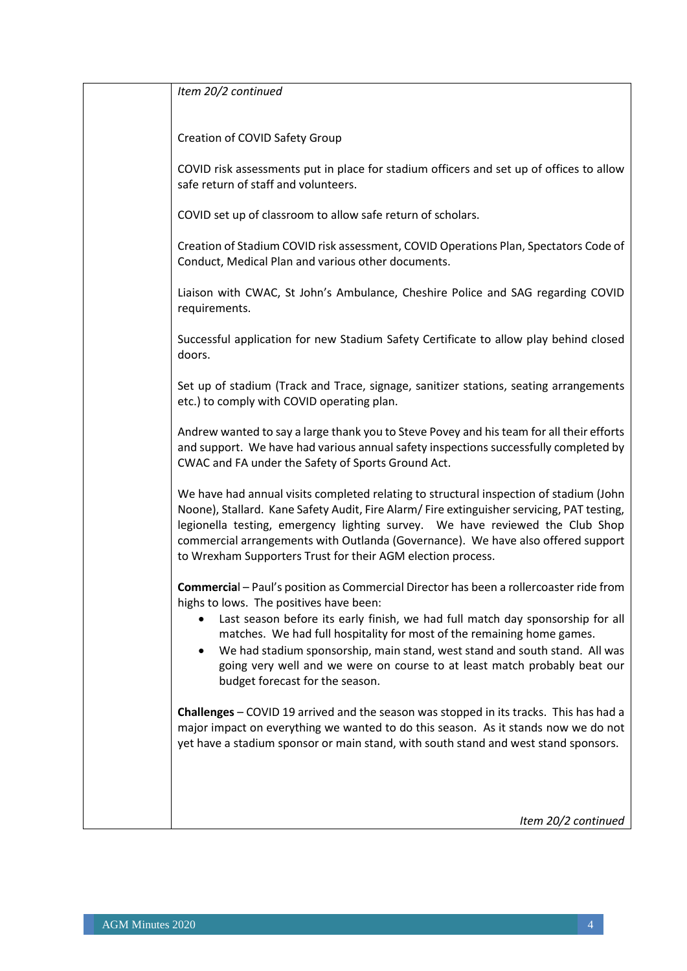| Item 20/2 continued                                                                                                                                                                                                                                                                                                                                                                                                      |
|--------------------------------------------------------------------------------------------------------------------------------------------------------------------------------------------------------------------------------------------------------------------------------------------------------------------------------------------------------------------------------------------------------------------------|
| Creation of COVID Safety Group                                                                                                                                                                                                                                                                                                                                                                                           |
| COVID risk assessments put in place for stadium officers and set up of offices to allow<br>safe return of staff and volunteers.                                                                                                                                                                                                                                                                                          |
| COVID set up of classroom to allow safe return of scholars.                                                                                                                                                                                                                                                                                                                                                              |
| Creation of Stadium COVID risk assessment, COVID Operations Plan, Spectators Code of<br>Conduct, Medical Plan and various other documents.                                                                                                                                                                                                                                                                               |
| Liaison with CWAC, St John's Ambulance, Cheshire Police and SAG regarding COVID<br>requirements.                                                                                                                                                                                                                                                                                                                         |
| Successful application for new Stadium Safety Certificate to allow play behind closed<br>doors.                                                                                                                                                                                                                                                                                                                          |
| Set up of stadium (Track and Trace, signage, sanitizer stations, seating arrangements<br>etc.) to comply with COVID operating plan.                                                                                                                                                                                                                                                                                      |
| Andrew wanted to say a large thank you to Steve Povey and his team for all their efforts<br>and support. We have had various annual safety inspections successfully completed by<br>CWAC and FA under the Safety of Sports Ground Act.                                                                                                                                                                                   |
| We have had annual visits completed relating to structural inspection of stadium (John<br>Noone), Stallard. Kane Safety Audit, Fire Alarm/ Fire extinguisher servicing, PAT testing,<br>legionella testing, emergency lighting survey. We have reviewed the Club Shop<br>commercial arrangements with Outlanda (Governance). We have also offered support<br>to Wrexham Supporters Trust for their AGM election process. |
| Commercial - Paul's position as Commercial Director has been a rollercoaster ride from<br>highs to lows. The positives have been:                                                                                                                                                                                                                                                                                        |
| Last season before its early finish, we had full match day sponsorship for all<br>matches. We had full hospitality for most of the remaining home games.<br>We had stadium sponsorship, main stand, west stand and south stand. All was<br>going very well and we were on course to at least match probably beat our<br>budget forecast for the season.                                                                  |
| <b>Challenges</b> – COVID 19 arrived and the season was stopped in its tracks. This has had a<br>major impact on everything we wanted to do this season. As it stands now we do not<br>yet have a stadium sponsor or main stand, with south stand and west stand sponsors.                                                                                                                                               |
|                                                                                                                                                                                                                                                                                                                                                                                                                          |
| Item 20/2 continued                                                                                                                                                                                                                                                                                                                                                                                                      |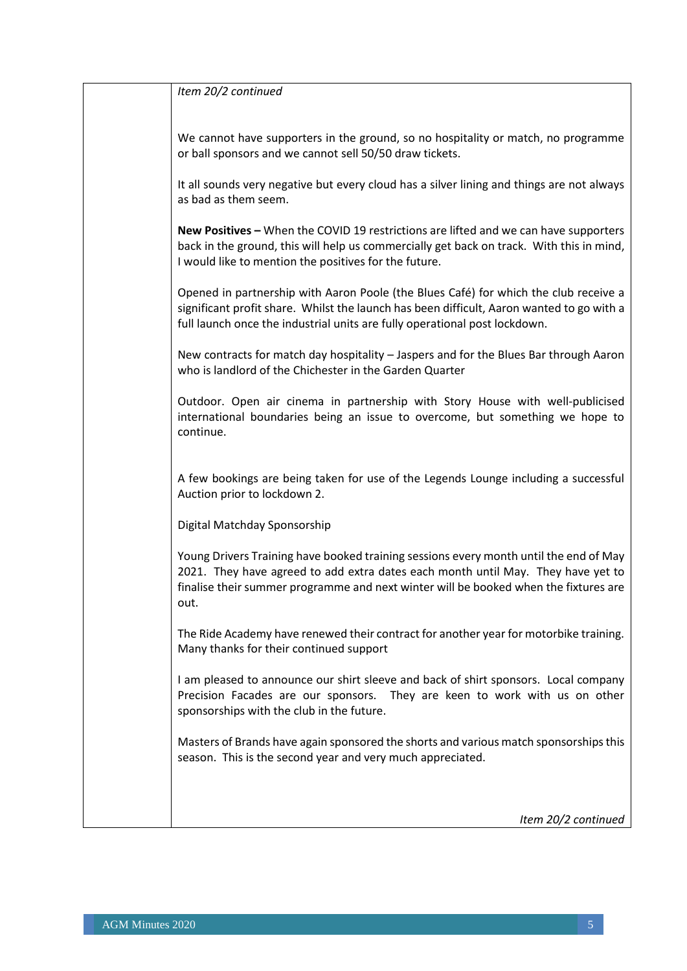| Item 20/2 continued                                                                                                                                                                                                                                                       |
|---------------------------------------------------------------------------------------------------------------------------------------------------------------------------------------------------------------------------------------------------------------------------|
| We cannot have supporters in the ground, so no hospitality or match, no programme<br>or ball sponsors and we cannot sell 50/50 draw tickets.                                                                                                                              |
| It all sounds very negative but every cloud has a silver lining and things are not always<br>as bad as them seem.                                                                                                                                                         |
| New Positives - When the COVID 19 restrictions are lifted and we can have supporters<br>back in the ground, this will help us commercially get back on track. With this in mind,<br>I would like to mention the positives for the future.                                 |
| Opened in partnership with Aaron Poole (the Blues Café) for which the club receive a<br>significant profit share. Whilst the launch has been difficult, Aaron wanted to go with a<br>full launch once the industrial units are fully operational post lockdown.           |
| New contracts for match day hospitality - Jaspers and for the Blues Bar through Aaron<br>who is landlord of the Chichester in the Garden Quarter                                                                                                                          |
| Outdoor. Open air cinema in partnership with Story House with well-publicised<br>international boundaries being an issue to overcome, but something we hope to<br>continue.                                                                                               |
| A few bookings are being taken for use of the Legends Lounge including a successful<br>Auction prior to lockdown 2.                                                                                                                                                       |
| Digital Matchday Sponsorship                                                                                                                                                                                                                                              |
| Young Drivers Training have booked training sessions every month until the end of May<br>2021. They have agreed to add extra dates each month until May. They have yet to<br>finalise their summer programme and next winter will be booked when the fixtures are<br>out. |
| The Ride Academy have renewed their contract for another year for motorbike training.<br>Many thanks for their continued support                                                                                                                                          |
| I am pleased to announce our shirt sleeve and back of shirt sponsors. Local company<br>Precision Facades are our sponsors. They are keen to work with us on other<br>sponsorships with the club in the future.                                                            |
| Masters of Brands have again sponsored the shorts and various match sponsorships this<br>season. This is the second year and very much appreciated.                                                                                                                       |
| Item 20/2 continued                                                                                                                                                                                                                                                       |
|                                                                                                                                                                                                                                                                           |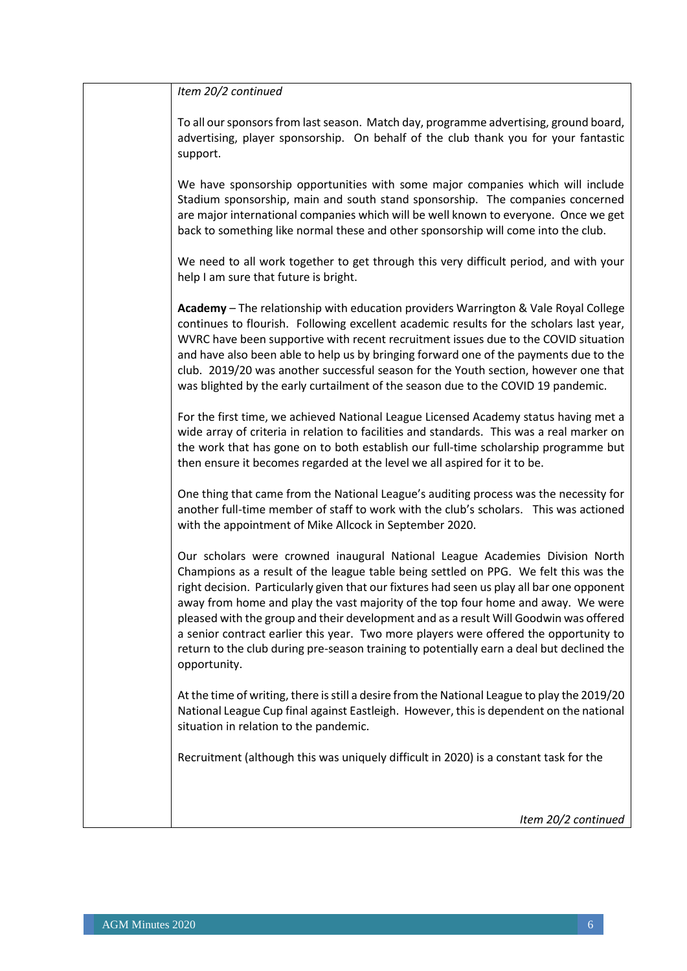| Item 20/2 continued                                                                                                                                                                                                                                                                                                                                                                                                                                                                                                                                                                                                                                   |
|-------------------------------------------------------------------------------------------------------------------------------------------------------------------------------------------------------------------------------------------------------------------------------------------------------------------------------------------------------------------------------------------------------------------------------------------------------------------------------------------------------------------------------------------------------------------------------------------------------------------------------------------------------|
| To all our sponsors from last season. Match day, programme advertising, ground board,<br>advertising, player sponsorship. On behalf of the club thank you for your fantastic<br>support.                                                                                                                                                                                                                                                                                                                                                                                                                                                              |
| We have sponsorship opportunities with some major companies which will include<br>Stadium sponsorship, main and south stand sponsorship. The companies concerned<br>are major international companies which will be well known to everyone. Once we get<br>back to something like normal these and other sponsorship will come into the club.                                                                                                                                                                                                                                                                                                         |
| We need to all work together to get through this very difficult period, and with your<br>help I am sure that future is bright.                                                                                                                                                                                                                                                                                                                                                                                                                                                                                                                        |
| Academy - The relationship with education providers Warrington & Vale Royal College<br>continues to flourish. Following excellent academic results for the scholars last year,<br>WVRC have been supportive with recent recruitment issues due to the COVID situation<br>and have also been able to help us by bringing forward one of the payments due to the<br>club. 2019/20 was another successful season for the Youth section, however one that<br>was blighted by the early curtailment of the season due to the COVID 19 pandemic.                                                                                                            |
| For the first time, we achieved National League Licensed Academy status having met a<br>wide array of criteria in relation to facilities and standards. This was a real marker on<br>the work that has gone on to both establish our full-time scholarship programme but<br>then ensure it becomes regarded at the level we all aspired for it to be.                                                                                                                                                                                                                                                                                                 |
| One thing that came from the National League's auditing process was the necessity for<br>another full-time member of staff to work with the club's scholars. This was actioned<br>with the appointment of Mike Allcock in September 2020.                                                                                                                                                                                                                                                                                                                                                                                                             |
| Our scholars were crowned inaugural National League Academies Division North<br>Champions as a result of the league table being settled on PPG. We felt this was the<br>right decision. Particularly given that our fixtures had seen us play all bar one opponent<br>away from home and play the vast majority of the top four home and away. We were<br>pleased with the group and their development and as a result Will Goodwin was offered<br>a senior contract earlier this year. Two more players were offered the opportunity to<br>return to the club during pre-season training to potentially earn a deal but declined the<br>opportunity. |
| At the time of writing, there is still a desire from the National League to play the 2019/20<br>National League Cup final against Eastleigh. However, this is dependent on the national<br>situation in relation to the pandemic.                                                                                                                                                                                                                                                                                                                                                                                                                     |
| Recruitment (although this was uniquely difficult in 2020) is a constant task for the                                                                                                                                                                                                                                                                                                                                                                                                                                                                                                                                                                 |
| Item 20/2 continued                                                                                                                                                                                                                                                                                                                                                                                                                                                                                                                                                                                                                                   |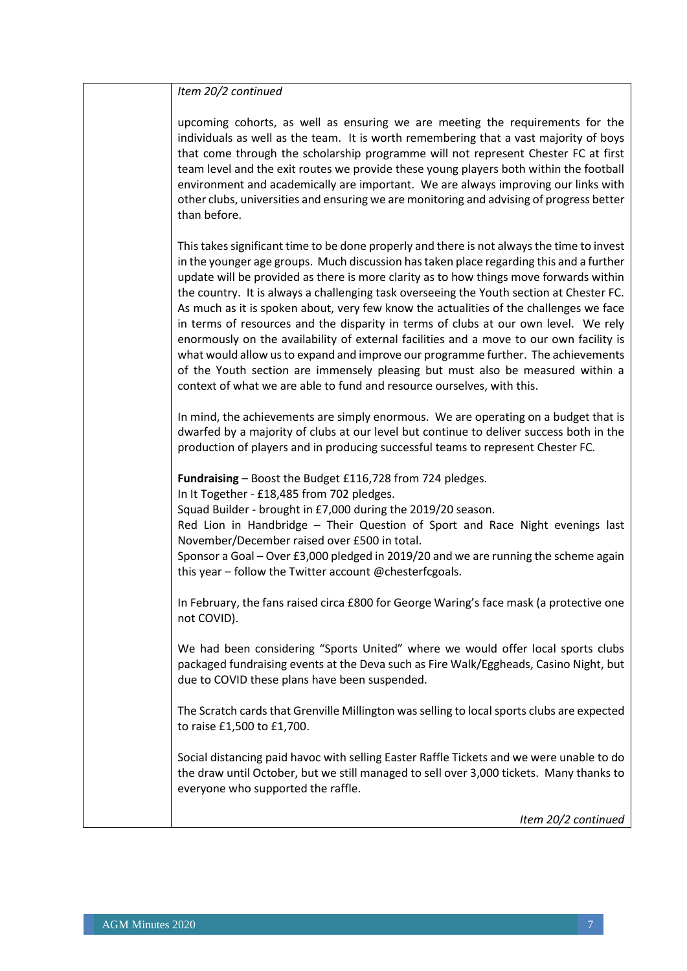| Item 20/2 continued                                                                                                                                                                                                                                                                                                                                                                                                                                                                                                                                                                                                                                                                                                                                                                                                                                                                                      |
|----------------------------------------------------------------------------------------------------------------------------------------------------------------------------------------------------------------------------------------------------------------------------------------------------------------------------------------------------------------------------------------------------------------------------------------------------------------------------------------------------------------------------------------------------------------------------------------------------------------------------------------------------------------------------------------------------------------------------------------------------------------------------------------------------------------------------------------------------------------------------------------------------------|
| upcoming cohorts, as well as ensuring we are meeting the requirements for the<br>individuals as well as the team. It is worth remembering that a vast majority of boys<br>that come through the scholarship programme will not represent Chester FC at first<br>team level and the exit routes we provide these young players both within the football<br>environment and academically are important. We are always improving our links with<br>other clubs, universities and ensuring we are monitoring and advising of progress better<br>than before.                                                                                                                                                                                                                                                                                                                                                 |
| This takes significant time to be done properly and there is not always the time to invest<br>in the younger age groups. Much discussion has taken place regarding this and a further<br>update will be provided as there is more clarity as to how things move forwards within<br>the country. It is always a challenging task overseeing the Youth section at Chester FC.<br>As much as it is spoken about, very few know the actualities of the challenges we face<br>in terms of resources and the disparity in terms of clubs at our own level. We rely<br>enormously on the availability of external facilities and a move to our own facility is<br>what would allow us to expand and improve our programme further. The achievements<br>of the Youth section are immensely pleasing but must also be measured within a<br>context of what we are able to fund and resource ourselves, with this. |
| In mind, the achievements are simply enormous. We are operating on a budget that is<br>dwarfed by a majority of clubs at our level but continue to deliver success both in the<br>production of players and in producing successful teams to represent Chester FC.                                                                                                                                                                                                                                                                                                                                                                                                                                                                                                                                                                                                                                       |
| Fundraising - Boost the Budget £116,728 from 724 pledges.<br>In It Together - £18,485 from 702 pledges.<br>Squad Builder - brought in £7,000 during the 2019/20 season.<br>Red Lion in Handbridge - Their Question of Sport and Race Night evenings last<br>November/December raised over £500 in total.<br>Sponsor a Goal - Over £3,000 pledged in 2019/20 and we are running the scheme again<br>this year - follow the Twitter account @chesterfcgoals.                                                                                                                                                                                                                                                                                                                                                                                                                                               |
| In February, the fans raised circa £800 for George Waring's face mask (a protective one<br>not COVID).                                                                                                                                                                                                                                                                                                                                                                                                                                                                                                                                                                                                                                                                                                                                                                                                   |
| We had been considering "Sports United" where we would offer local sports clubs<br>packaged fundraising events at the Deva such as Fire Walk/Eggheads, Casino Night, but<br>due to COVID these plans have been suspended.                                                                                                                                                                                                                                                                                                                                                                                                                                                                                                                                                                                                                                                                                |
| The Scratch cards that Grenville Millington was selling to local sports clubs are expected<br>to raise £1,500 to £1,700.                                                                                                                                                                                                                                                                                                                                                                                                                                                                                                                                                                                                                                                                                                                                                                                 |
| Social distancing paid havoc with selling Easter Raffle Tickets and we were unable to do<br>the draw until October, but we still managed to sell over 3,000 tickets. Many thanks to<br>everyone who supported the raffle.                                                                                                                                                                                                                                                                                                                                                                                                                                                                                                                                                                                                                                                                                |
| Item 20/2 continued                                                                                                                                                                                                                                                                                                                                                                                                                                                                                                                                                                                                                                                                                                                                                                                                                                                                                      |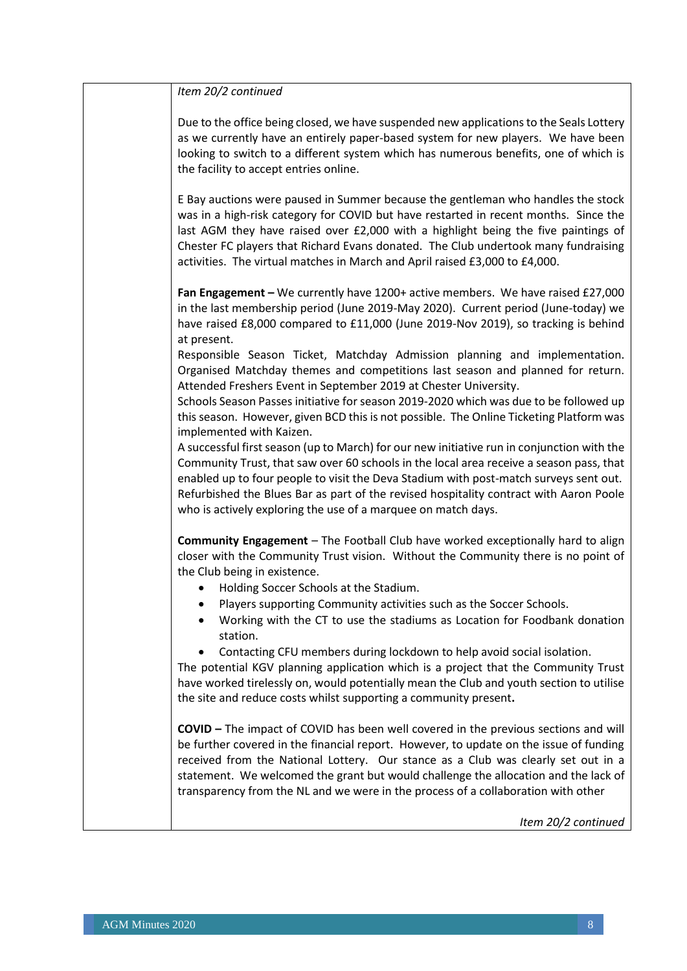| Item 20/2 continued                                                                                                                                                                                                                                                                                                                                                                                                                                   |
|-------------------------------------------------------------------------------------------------------------------------------------------------------------------------------------------------------------------------------------------------------------------------------------------------------------------------------------------------------------------------------------------------------------------------------------------------------|
| Due to the office being closed, we have suspended new applications to the Seals Lottery<br>as we currently have an entirely paper-based system for new players. We have been<br>looking to switch to a different system which has numerous benefits, one of which is<br>the facility to accept entries online.                                                                                                                                        |
| E Bay auctions were paused in Summer because the gentleman who handles the stock<br>was in a high-risk category for COVID but have restarted in recent months. Since the<br>last AGM they have raised over £2,000 with a highlight being the five paintings of<br>Chester FC players that Richard Evans donated. The Club undertook many fundraising<br>activities. The virtual matches in March and April raised £3,000 to £4,000.                   |
| Fan Engagement - We currently have 1200+ active members. We have raised £27,000<br>in the last membership period (June 2019-May 2020). Current period (June-today) we<br>have raised £8,000 compared to £11,000 (June 2019-Nov 2019), so tracking is behind<br>at present.                                                                                                                                                                            |
| Responsible Season Ticket, Matchday Admission planning and implementation.<br>Organised Matchday themes and competitions last season and planned for return.<br>Attended Freshers Event in September 2019 at Chester University.                                                                                                                                                                                                                      |
| Schools Season Passes initiative for season 2019-2020 which was due to be followed up<br>this season. However, given BCD this is not possible. The Online Ticketing Platform was<br>implemented with Kaizen.                                                                                                                                                                                                                                          |
| A successful first season (up to March) for our new initiative run in conjunction with the<br>Community Trust, that saw over 60 schools in the local area receive a season pass, that<br>enabled up to four people to visit the Deva Stadium with post-match surveys sent out.<br>Refurbished the Blues Bar as part of the revised hospitality contract with Aaron Poole<br>who is actively exploring the use of a marquee on match days.             |
| Community Engagement - The Football Club have worked exceptionally hard to align<br>closer with the Community Trust vision. Without the Community there is no point of<br>the Club being in existence.                                                                                                                                                                                                                                                |
| Holding Soccer Schools at the Stadium.                                                                                                                                                                                                                                                                                                                                                                                                                |
| Players supporting Community activities such as the Soccer Schools.                                                                                                                                                                                                                                                                                                                                                                                   |
| Working with the CT to use the stadiums as Location for Foodbank donation<br>station.                                                                                                                                                                                                                                                                                                                                                                 |
| Contacting CFU members during lockdown to help avoid social isolation.<br>The potential KGV planning application which is a project that the Community Trust                                                                                                                                                                                                                                                                                          |
| have worked tirelessly on, would potentially mean the Club and youth section to utilise<br>the site and reduce costs whilst supporting a community present.                                                                                                                                                                                                                                                                                           |
| <b>COVID</b> – The impact of COVID has been well covered in the previous sections and will<br>be further covered in the financial report. However, to update on the issue of funding<br>received from the National Lottery. Our stance as a Club was clearly set out in a<br>statement. We welcomed the grant but would challenge the allocation and the lack of<br>transparency from the NL and we were in the process of a collaboration with other |
| Item 20/2 continued                                                                                                                                                                                                                                                                                                                                                                                                                                   |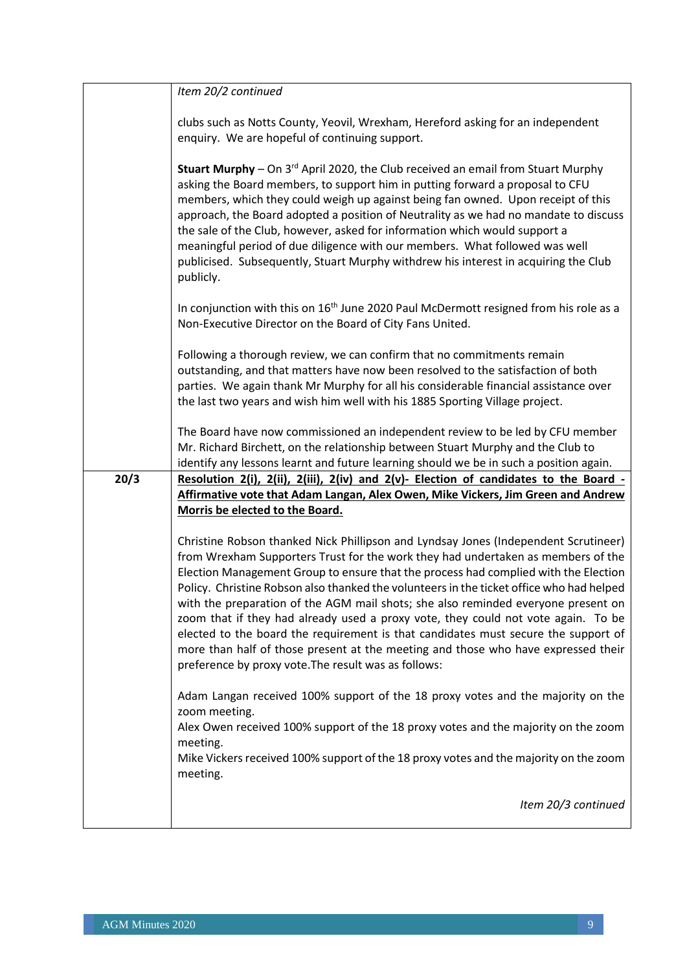|      | Item 20/2 continued                                                                                                                                                                                                                                                                                                                                                                                                                                                                                                                                                                                                                                                                                                                                                     |
|------|-------------------------------------------------------------------------------------------------------------------------------------------------------------------------------------------------------------------------------------------------------------------------------------------------------------------------------------------------------------------------------------------------------------------------------------------------------------------------------------------------------------------------------------------------------------------------------------------------------------------------------------------------------------------------------------------------------------------------------------------------------------------------|
|      |                                                                                                                                                                                                                                                                                                                                                                                                                                                                                                                                                                                                                                                                                                                                                                         |
|      | clubs such as Notts County, Yeovil, Wrexham, Hereford asking for an independent<br>enquiry. We are hopeful of continuing support.                                                                                                                                                                                                                                                                                                                                                                                                                                                                                                                                                                                                                                       |
|      | Stuart Murphy - On 3 <sup>rd</sup> April 2020, the Club received an email from Stuart Murphy<br>asking the Board members, to support him in putting forward a proposal to CFU<br>members, which they could weigh up against being fan owned. Upon receipt of this<br>approach, the Board adopted a position of Neutrality as we had no mandate to discuss<br>the sale of the Club, however, asked for information which would support a<br>meaningful period of due diligence with our members. What followed was well<br>publicised. Subsequently, Stuart Murphy withdrew his interest in acquiring the Club<br>publicly.                                                                                                                                              |
|      | In conjunction with this on 16 <sup>th</sup> June 2020 Paul McDermott resigned from his role as a<br>Non-Executive Director on the Board of City Fans United.                                                                                                                                                                                                                                                                                                                                                                                                                                                                                                                                                                                                           |
|      | Following a thorough review, we can confirm that no commitments remain<br>outstanding, and that matters have now been resolved to the satisfaction of both<br>parties. We again thank Mr Murphy for all his considerable financial assistance over<br>the last two years and wish him well with his 1885 Sporting Village project.                                                                                                                                                                                                                                                                                                                                                                                                                                      |
|      | The Board have now commissioned an independent review to be led by CFU member<br>Mr. Richard Birchett, on the relationship between Stuart Murphy and the Club to<br>identify any lessons learnt and future learning should we be in such a position again.                                                                                                                                                                                                                                                                                                                                                                                                                                                                                                              |
| 20/3 | Resolution 2(i), 2(ii), 2(iii), 2(iv) and $2(v)$ - Election of candidates to the Board                                                                                                                                                                                                                                                                                                                                                                                                                                                                                                                                                                                                                                                                                  |
|      | <b>Affirmative vote that Adam Langan, Alex Owen, Mike Vickers, Jim Green and Andrew</b>                                                                                                                                                                                                                                                                                                                                                                                                                                                                                                                                                                                                                                                                                 |
|      | Morris be elected to the Board.                                                                                                                                                                                                                                                                                                                                                                                                                                                                                                                                                                                                                                                                                                                                         |
|      | Christine Robson thanked Nick Phillipson and Lyndsay Jones (Independent Scrutineer)<br>from Wrexham Supporters Trust for the work they had undertaken as members of the<br>Election Management Group to ensure that the process had complied with the Election<br>Policy. Christine Robson also thanked the volunteers in the ticket office who had helped<br>with the preparation of the AGM mail shots; she also reminded everyone present on<br>zoom that if they had already used a proxy vote, they could not vote again. To be<br>elected to the board the requirement is that candidates must secure the support of<br>more than half of those present at the meeting and those who have expressed their<br>preference by proxy vote. The result was as follows: |
|      | Adam Langan received 100% support of the 18 proxy votes and the majority on the<br>zoom meeting.<br>Alex Owen received 100% support of the 18 proxy votes and the majority on the zoom                                                                                                                                                                                                                                                                                                                                                                                                                                                                                                                                                                                  |
|      | meeting.<br>Mike Vickers received 100% support of the 18 proxy votes and the majority on the zoom<br>meeting.                                                                                                                                                                                                                                                                                                                                                                                                                                                                                                                                                                                                                                                           |
|      | Item 20/3 continued                                                                                                                                                                                                                                                                                                                                                                                                                                                                                                                                                                                                                                                                                                                                                     |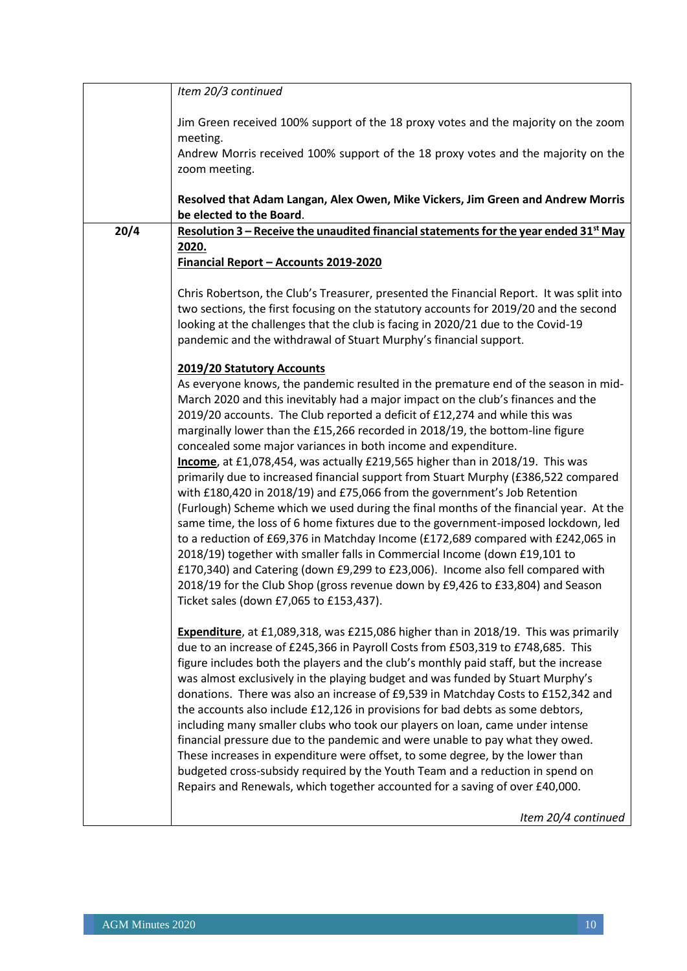|      | Item 20/3 continued                                                                                                                                           |
|------|---------------------------------------------------------------------------------------------------------------------------------------------------------------|
|      |                                                                                                                                                               |
|      | Jim Green received 100% support of the 18 proxy votes and the majority on the zoom                                                                            |
|      | meeting.                                                                                                                                                      |
|      | Andrew Morris received 100% support of the 18 proxy votes and the majority on the                                                                             |
|      | zoom meeting.                                                                                                                                                 |
|      |                                                                                                                                                               |
|      | Resolved that Adam Langan, Alex Owen, Mike Vickers, Jim Green and Andrew Morris<br>be elected to the Board.                                                   |
| 20/4 | Resolution 3 - Receive the unaudited financial statements for the year ended 31 <sup>st</sup> May                                                             |
|      | 2020.                                                                                                                                                         |
|      | Financial Report - Accounts 2019-2020                                                                                                                         |
|      |                                                                                                                                                               |
|      | Chris Robertson, the Club's Treasurer, presented the Financial Report. It was split into                                                                      |
|      | two sections, the first focusing on the statutory accounts for 2019/20 and the second                                                                         |
|      | looking at the challenges that the club is facing in 2020/21 due to the Covid-19                                                                              |
|      | pandemic and the withdrawal of Stuart Murphy's financial support.                                                                                             |
|      | 2019/20 Statutory Accounts                                                                                                                                    |
|      | As everyone knows, the pandemic resulted in the premature end of the season in mid-                                                                           |
|      | March 2020 and this inevitably had a major impact on the club's finances and the                                                                              |
|      | 2019/20 accounts. The Club reported a deficit of £12,274 and while this was                                                                                   |
|      | marginally lower than the £15,266 recorded in 2018/19, the bottom-line figure                                                                                 |
|      | concealed some major variances in both income and expenditure.                                                                                                |
|      | Income, at £1,078,454, was actually £219,565 higher than in 2018/19. This was                                                                                 |
|      | primarily due to increased financial support from Stuart Murphy (£386,522 compared                                                                            |
|      | with £180,420 in 2018/19) and £75,066 from the government's Job Retention                                                                                     |
|      | (Furlough) Scheme which we used during the final months of the financial year. At the                                                                         |
|      | same time, the loss of 6 home fixtures due to the government-imposed lockdown, led                                                                            |
|      | to a reduction of £69,376 in Matchday Income (£172,689 compared with £242,065 in                                                                              |
|      | 2018/19) together with smaller falls in Commercial Income (down £19,101 to<br>£170,340) and Catering (down £9,299 to £23,006). Income also fell compared with |
|      | 2018/19 for the Club Shop (gross revenue down by £9,426 to £33,804) and Season                                                                                |
|      | Ticket sales (down £7,065 to £153,437).                                                                                                                       |
|      |                                                                                                                                                               |
|      | Expenditure, at £1,089,318, was £215,086 higher than in 2018/19. This was primarily                                                                           |
|      | due to an increase of £245,366 in Payroll Costs from £503,319 to £748,685. This                                                                               |
|      | figure includes both the players and the club's monthly paid staff, but the increase                                                                          |
|      | was almost exclusively in the playing budget and was funded by Stuart Murphy's                                                                                |
|      | donations. There was also an increase of £9,539 in Matchday Costs to £152,342 and                                                                             |
|      | the accounts also include £12,126 in provisions for bad debts as some debtors,                                                                                |
|      | including many smaller clubs who took our players on loan, came under intense                                                                                 |
|      | financial pressure due to the pandemic and were unable to pay what they owed.                                                                                 |
|      | These increases in expenditure were offset, to some degree, by the lower than                                                                                 |
|      | budgeted cross-subsidy required by the Youth Team and a reduction in spend on<br>Repairs and Renewals, which together accounted for a saving of over £40,000. |
|      |                                                                                                                                                               |
|      | Item 20/4 continued                                                                                                                                           |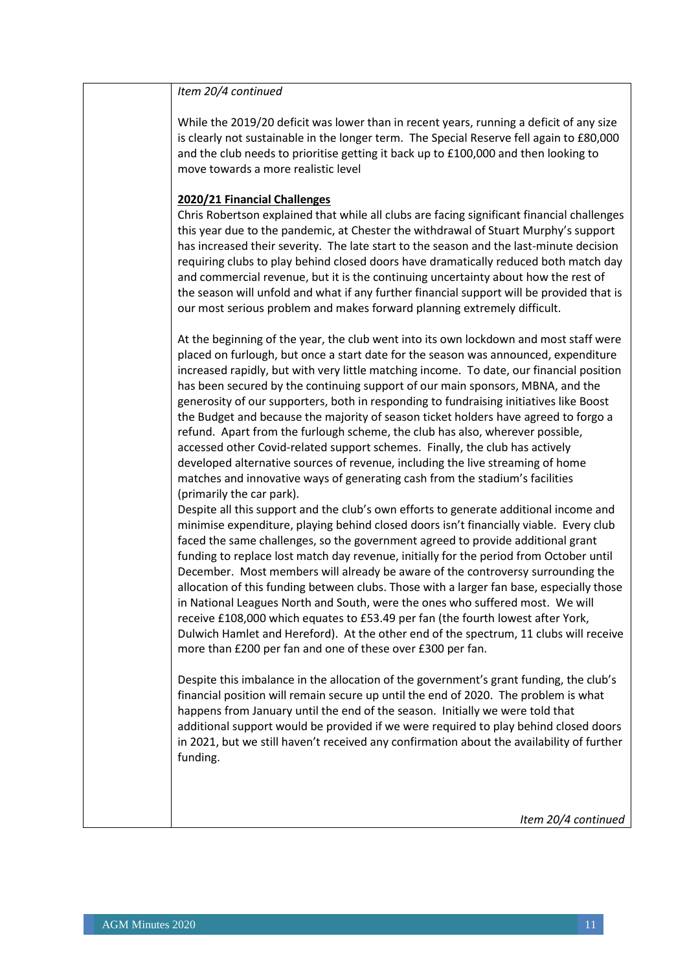| Item 20/4 continued                                                                                                                                                                                                                                                                                                                                                                                                                                                                                                                                                                                                                                                                                                                                                                                                                                                            |
|--------------------------------------------------------------------------------------------------------------------------------------------------------------------------------------------------------------------------------------------------------------------------------------------------------------------------------------------------------------------------------------------------------------------------------------------------------------------------------------------------------------------------------------------------------------------------------------------------------------------------------------------------------------------------------------------------------------------------------------------------------------------------------------------------------------------------------------------------------------------------------|
| While the 2019/20 deficit was lower than in recent years, running a deficit of any size<br>is clearly not sustainable in the longer term. The Special Reserve fell again to £80,000<br>and the club needs to prioritise getting it back up to £100,000 and then looking to                                                                                                                                                                                                                                                                                                                                                                                                                                                                                                                                                                                                     |
| move towards a more realistic level                                                                                                                                                                                                                                                                                                                                                                                                                                                                                                                                                                                                                                                                                                                                                                                                                                            |
| 2020/21 Financial Challenges<br>Chris Robertson explained that while all clubs are facing significant financial challenges<br>this year due to the pandemic, at Chester the withdrawal of Stuart Murphy's support<br>has increased their severity. The late start to the season and the last-minute decision                                                                                                                                                                                                                                                                                                                                                                                                                                                                                                                                                                   |
| requiring clubs to play behind closed doors have dramatically reduced both match day<br>and commercial revenue, but it is the continuing uncertainty about how the rest of<br>the season will unfold and what if any further financial support will be provided that is<br>our most serious problem and makes forward planning extremely difficult.                                                                                                                                                                                                                                                                                                                                                                                                                                                                                                                            |
| At the beginning of the year, the club went into its own lockdown and most staff were<br>placed on furlough, but once a start date for the season was announced, expenditure<br>increased rapidly, but with very little matching income. To date, our financial position<br>has been secured by the continuing support of our main sponsors, MBNA, and the<br>generosity of our supporters, both in responding to fundraising initiatives like Boost<br>the Budget and because the majority of season ticket holders have agreed to forgo a<br>refund. Apart from the furlough scheme, the club has also, wherever possible,<br>accessed other Covid-related support schemes. Finally, the club has actively<br>developed alternative sources of revenue, including the live streaming of home<br>matches and innovative ways of generating cash from the stadium's facilities |
| (primarily the car park).<br>Despite all this support and the club's own efforts to generate additional income and<br>minimise expenditure, playing behind closed doors isn't financially viable. Every club<br>faced the same challenges, so the government agreed to provide additional grant                                                                                                                                                                                                                                                                                                                                                                                                                                                                                                                                                                                |
| funding to replace lost match day revenue, initially for the period from October until<br>December. Most members will already be aware of the controversy surrounding the<br>allocation of this funding between clubs. Those with a larger fan base, especially those<br>in National Leagues North and South, were the ones who suffered most. We will<br>receive £108,000 which equates to £53.49 per fan (the fourth lowest after York,<br>Dulwich Hamlet and Hereford). At the other end of the spectrum, 11 clubs will receive<br>more than £200 per fan and one of these over £300 per fan.                                                                                                                                                                                                                                                                               |
| Despite this imbalance in the allocation of the government's grant funding, the club's<br>financial position will remain secure up until the end of 2020. The problem is what<br>happens from January until the end of the season. Initially we were told that<br>additional support would be provided if we were required to play behind closed doors<br>in 2021, but we still haven't received any confirmation about the availability of further<br>funding.                                                                                                                                                                                                                                                                                                                                                                                                                |
|                                                                                                                                                                                                                                                                                                                                                                                                                                                                                                                                                                                                                                                                                                                                                                                                                                                                                |
| Item 20/4 continued                                                                                                                                                                                                                                                                                                                                                                                                                                                                                                                                                                                                                                                                                                                                                                                                                                                            |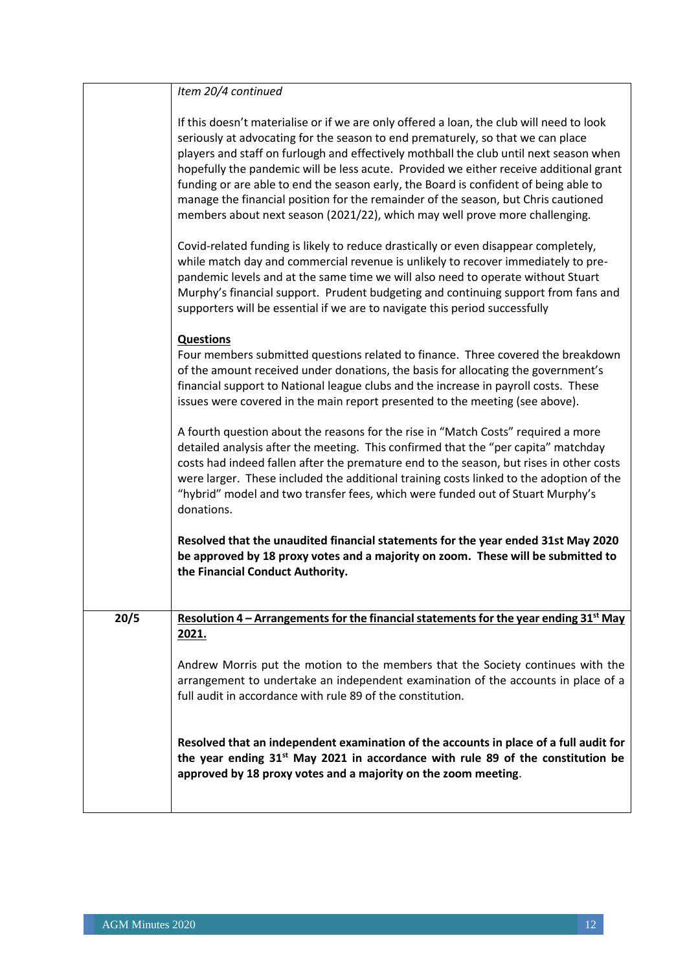|      | Item 20/4 continued                                                                                                                                                                                                                                                                                                                                                                                                                                                                                                                                                                                                          |
|------|------------------------------------------------------------------------------------------------------------------------------------------------------------------------------------------------------------------------------------------------------------------------------------------------------------------------------------------------------------------------------------------------------------------------------------------------------------------------------------------------------------------------------------------------------------------------------------------------------------------------------|
|      | If this doesn't materialise or if we are only offered a loan, the club will need to look<br>seriously at advocating for the season to end prematurely, so that we can place<br>players and staff on furlough and effectively mothball the club until next season when<br>hopefully the pandemic will be less acute. Provided we either receive additional grant<br>funding or are able to end the season early, the Board is confident of being able to<br>manage the financial position for the remainder of the season, but Chris cautioned<br>members about next season (2021/22), which may well prove more challenging. |
|      | Covid-related funding is likely to reduce drastically or even disappear completely,<br>while match day and commercial revenue is unlikely to recover immediately to pre-<br>pandemic levels and at the same time we will also need to operate without Stuart<br>Murphy's financial support. Prudent budgeting and continuing support from fans and<br>supporters will be essential if we are to navigate this period successfully                                                                                                                                                                                            |
|      | <b>Questions</b><br>Four members submitted questions related to finance. Three covered the breakdown<br>of the amount received under donations, the basis for allocating the government's<br>financial support to National league clubs and the increase in payroll costs. These<br>issues were covered in the main report presented to the meeting (see above).                                                                                                                                                                                                                                                             |
|      | A fourth question about the reasons for the rise in "Match Costs" required a more<br>detailed analysis after the meeting. This confirmed that the "per capita" matchday<br>costs had indeed fallen after the premature end to the season, but rises in other costs<br>were larger. These included the additional training costs linked to the adoption of the<br>"hybrid" model and two transfer fees, which were funded out of Stuart Murphy's<br>donations.                                                                                                                                                                |
|      | Resolved that the unaudited financial statements for the year ended 31st May 2020<br>be approved by 18 proxy votes and a majority on zoom. These will be submitted to<br>the Financial Conduct Authority.                                                                                                                                                                                                                                                                                                                                                                                                                    |
| 20/5 | Resolution 4 – Arrangements for the financial statements for the year ending $31st$ May<br>2021.                                                                                                                                                                                                                                                                                                                                                                                                                                                                                                                             |
|      | Andrew Morris put the motion to the members that the Society continues with the<br>arrangement to undertake an independent examination of the accounts in place of a<br>full audit in accordance with rule 89 of the constitution.                                                                                                                                                                                                                                                                                                                                                                                           |
|      | Resolved that an independent examination of the accounts in place of a full audit for<br>the year ending 31 <sup>st</sup> May 2021 in accordance with rule 89 of the constitution be<br>approved by 18 proxy votes and a majority on the zoom meeting.                                                                                                                                                                                                                                                                                                                                                                       |